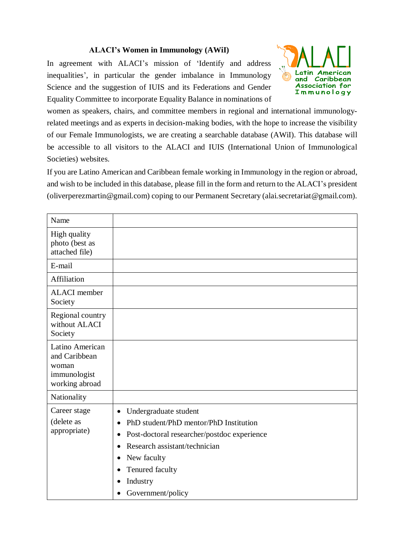## **ALACI's Women in Immunology (AWiI)**

In agreement with ALACI's mission of 'Identify and address inequalities', in particular the gender imbalance in Immunology Science and the suggestion of IUIS and its Federations and Gender Equality Committee to incorporate Equality Balance in nominations of



women as speakers, chairs, and committee members in regional and international immunologyrelated meetings and as experts in decision-making bodies, with the hope to increase the visibility of our Female Immunologists, we are creating a searchable database (AWiI). This database will be accessible to all visitors to the ALACI and IUIS (International Union of Immunological Societies) websites.

If you are Latino American and Caribbean female working in Immunology in the region or abroad, and wish to be included in this database, please fill in the form and return to the ALACI's president (oliverperezmartin@gmail.com) coping to our Permanent Secretary (alai.secretariat@gmail.com).

| Name                                                                        |                                                                                                                                                                                                                                                                                                                    |
|-----------------------------------------------------------------------------|--------------------------------------------------------------------------------------------------------------------------------------------------------------------------------------------------------------------------------------------------------------------------------------------------------------------|
| High quality<br>photo (best as<br>attached file)                            |                                                                                                                                                                                                                                                                                                                    |
| E-mail                                                                      |                                                                                                                                                                                                                                                                                                                    |
| Affiliation                                                                 |                                                                                                                                                                                                                                                                                                                    |
| <b>ALACI</b> member<br>Society                                              |                                                                                                                                                                                                                                                                                                                    |
| Regional country<br>without ALACI<br>Society                                |                                                                                                                                                                                                                                                                                                                    |
| Latino American<br>and Caribbean<br>woman<br>immunologist<br>working abroad |                                                                                                                                                                                                                                                                                                                    |
| Nationality                                                                 |                                                                                                                                                                                                                                                                                                                    |
| Career stage<br>(delete as<br>appropriate)                                  | Undergraduate student<br>$\bullet$<br>PhD student/PhD mentor/PhD Institution<br>$\bullet$<br>Post-doctoral researcher/postdoc experience<br>$\bullet$<br>Research assistant/technician<br>$\bullet$<br>New faculty<br>$\bullet$<br>Tenured faculty<br>٠<br>Industry<br>$\bullet$<br>Government/policy<br>$\bullet$ |